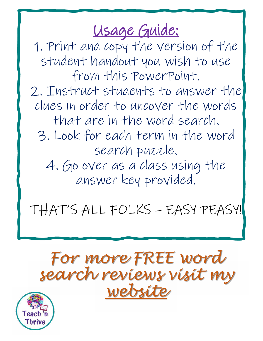## Usage Guide:

1. Print and copy the version of the student handout you wish to use from this PowerPoint. 2. Instruct students to answer the clues in order to uncover the words that are in the word search. 3. Look for each term in the word search puzzle. 4. Go over as a class using the answer key provided.

THAT'S ALL FOLKS – EASY PEASY!

# *For more FREE word search reviews visit my [website](https://teachnthrive.com/review-puzzles/global-history-word-puzzles-for-every-unit-free-downloads/)*

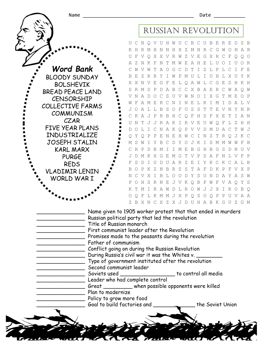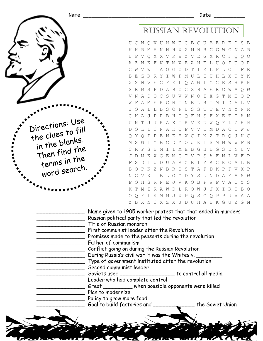

#### Russian Revolution

U C N Q V U H W U C B C U B E R E D S B K H R M H N N H X Z M N R C G W O N A R U F V Q X X V R W Z V E G X R C F Q Q O A Z N K F N T M W E A H E L U O I U O R C W V W T A O G C D T I Z L P L C I F E B E Z R R Y I W P M U L I U H L X U Y K X X N V E G F E L Q A W L C G E S H R H S R M S P D A B C C X B A E R C W A Q W V N A D O C S U V W N O I X G T M E O P W F A M E R C N I N E L R I M I D A L V J O A L L B S O F U S S T T E V N Y N R C K A J P R B H C Q F H S F X E T I A N U N T J J R A K I R V E U W Q F L Z H H D O L I C N A K Q P V V D M D A C T W J Q Y Q P P E N E H W C I N Z T R Q J K C M S W I Y B C D Y O J K I S M M W W F B C R P S B M I I M E B G H B G S D N U V J D M K X G E M G T V P S A F N L V F P F S D I U D U A R Z E I Y K C K C A L B B O P K Z N B R S S T A F D K P F V X P N C V X I B L O O D Y S U N D A Y A S W P O H S R N E J V K Q B P W F V A Q Y S K T M I R A W D L R O W J J X I R O B Q O Q F L K M M J X P Q S O Q P P U V A A Z B X N C X Z X J D U H A B K G U Z G M

| Russian political party that led the revolution     |  | Name given to 1905 worker protest that that ended in murders |  |  |
|-----------------------------------------------------|--|--------------------------------------------------------------|--|--|
| Title of Russian monarch                            |  |                                                              |  |  |
| First communist leader after the Revolution         |  |                                                              |  |  |
| Promises made to the peasants during the revolution |  |                                                              |  |  |
| Father of communism                                 |  |                                                              |  |  |
| Conflict going on during the Russian Revolution     |  |                                                              |  |  |
| During Russia's civil war it was the Whites v.      |  |                                                              |  |  |
| Type of government instituted after the revolution  |  |                                                              |  |  |
| Second communist leader                             |  |                                                              |  |  |
| Soviets used                                        |  | to control all media                                         |  |  |
| Leader who had complete control                     |  |                                                              |  |  |
| Great ________ when possible opponents were killed  |  |                                                              |  |  |
| Plan to modernize                                   |  |                                                              |  |  |
| Policy to grow more food                            |  |                                                              |  |  |
| Goal to build factories and                         |  | the Soviet Union                                             |  |  |
|                                                     |  |                                                              |  |  |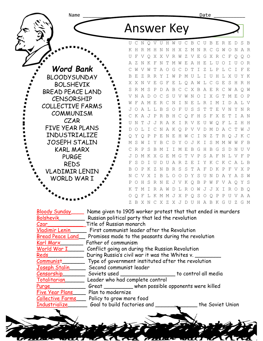| Name                             | Date                                                                                                                                                                        |  |  |  |  |
|----------------------------------|-----------------------------------------------------------------------------------------------------------------------------------------------------------------------------|--|--|--|--|
|                                  | <b>Answer Key</b>                                                                                                                                                           |  |  |  |  |
|                                  | UCNOVUHWUCBCUBERE<br>$\Gamma$                                                                                                                                               |  |  |  |  |
|                                  | K H R M H N N H X Z M N<br>CGWONAR<br>R                                                                                                                                     |  |  |  |  |
|                                  | V Q X X V R W Z V E<br>GXRCF<br>U<br>F<br>$\circ$<br>$O$ $O$                                                                                                                |  |  |  |  |
|                                  | T M W E A H<br>ELUOIUOR<br>K F<br>N<br>N                                                                                                                                    |  |  |  |  |
| <b>Word Bank</b>                 | G C D T<br>I Z L P<br>T<br>A O<br>L C<br>$\top$<br>F E<br>V<br>W                                                                                                            |  |  |  |  |
| <b>BLOODYSUNDAY</b>              | U H L X U<br>B<br>Z<br>R<br>P<br>M U<br>L<br>T.<br>Y K<br>E,<br>R<br>Y<br>T<br>W                                                                                            |  |  |  |  |
| <b>BOLSHEVIK</b>                 | E L Q A W L C<br>G E<br>- S<br>X X N<br>V<br>E<br>G F<br>H<br>R H                                                                                                           |  |  |  |  |
| BREAD PEACE LAND                 | S R M S<br>$\mathbb{P}$<br>D A B<br>$\mathcal{C}$<br>C<br>X B A E R C W<br>A O W                                                                                            |  |  |  |  |
| <b>CENSORSHIP</b>                | V N A D O<br>$\mathcal{C}$<br>S<br>$\mathbb N$<br>I X G<br>T<br>UVW<br>$\circ$<br>M<br>E<br>$O$ $P$<br>F<br>A M E<br>R C N I N<br>E<br>L<br>R<br>I M<br>I<br>D<br>W<br>AT.V |  |  |  |  |
| <b>COLLECTIVE FARMS</b>          | JOALLBSOFUSST<br>T E V<br>N<br>Y<br>N R                                                                                                                                     |  |  |  |  |
| <b>COMMUNISM</b>                 | CKAJPRBHCQFHSFXE<br>T<br>I A N                                                                                                                                              |  |  |  |  |
| CZAR                             | T<br>JJRAKIRVE<br>N<br>$\circ$<br>F<br>L<br>Z<br>$H$ H<br>U<br>U<br>W                                                                                                       |  |  |  |  |
| FIVE YEAR PLANS                  | CNAKQPVVDM<br>АСТ<br>L<br>$\perp$<br>D<br>W J<br>D<br>$\circ$                                                                                                               |  |  |  |  |
| INDUSTRIALIZE                    | Y<br>$\circ$<br>$\mathbb P$<br>$\mathbb P$<br>E<br>N E<br>H<br>I N<br>- Z<br>T<br>R<br>J K C<br>W<br>C<br>$\bigcirc$                                                        |  |  |  |  |
| <b>JOSEPH STALIN</b>             | М<br>S<br>W<br>$\mathbb{I}$<br>Y<br>B<br>C<br>D Y<br>J K I<br>S<br>$\circ$<br>MMW<br>W<br>F B                                                                               |  |  |  |  |
| <b>KARL MARX</b>                 | C R<br>$\mathbb P$<br>I M E B G H B<br>G<br>- S<br>-S<br>B<br>МI<br>- D<br>N<br>TJ V                                                                                        |  |  |  |  |
| <b>PURGE</b>                     | M K X G E M G T V P S A F<br>N L V F P<br>JD                                                                                                                                |  |  |  |  |
| <b>REDS</b>                      | U D U A R Z E I Y K C K C A L B<br>F<br>S<br>D<br>T.                                                                                                                        |  |  |  |  |
| <b>VLADIMIR LENIN</b>            | K<br>-7.<br>B<br>R<br>S<br>S<br>Т<br>A<br>F<br>$\mathcal{D}$<br>K P<br>- F<br>V<br>X P<br><sub>B</sub><br>P<br>N<br>$\bigcirc$                                              |  |  |  |  |
| WORLD WAR I                      | B<br>Y<br>S<br>Y<br>V<br>X<br>I<br>. т.<br>$\bigcirc$<br>∩<br>Ð<br>U<br>N<br>D<br>A<br>AS W                                                                                 |  |  |  |  |
|                                  | SRNEJVKQB<br>H<br>P W F V A O Y S<br>P<br>$\circ$                                                                                                                           |  |  |  |  |
|                                  | M I R A W D L R O W J J X I R O B O<br>T<br>K                                                                                                                               |  |  |  |  |
|                                  | L K M M J X P Q S O Q P P U V A A<br>$\circ$<br>F<br>O                                                                                                                      |  |  |  |  |
|                                  | Z B X N C X Z X J D U H A B K G U Z G M                                                                                                                                     |  |  |  |  |
| <b>Bloody Sunday</b>             | Name given to 1905 worker protest that that ended in murders                                                                                                                |  |  |  |  |
| <b>Bolshevik</b>                 | Russian political party that led the revolution                                                                                                                             |  |  |  |  |
| Title of Russian monarch<br>Czar |                                                                                                                                                                             |  |  |  |  |

| <b>Vladimir Lenin</b> | First communist leader after the Revolution |
|-----------------------|---------------------------------------------|

| <b>Bread Peace Land</b> | Promises made to the peasants during the revolution |  |
|-------------------------|-----------------------------------------------------|--|
| Vaul Maure              | Eathan of agministration                            |  |

Karl Marx\_\_\_\_\_\_\_ Father of communism Conflict going on during the Russian Revolution

Reds\_\_\_\_\_\_\_\_\_\_\_ During Russia's civil war it was the Whites v. \_\_\_\_\_\_\_\_ Communist\_\_\_\_\_\_\_\_\_\_ Type of government instituted after the revolution<br>Joseph Stalin \_\_\_\_\_ Second communist leader Second communist leader

Censorship\_\_\_\_\_\_\_ Soviets used \_\_\_\_\_\_\_\_\_\_\_\_\_\_\_\_\_ to control all media Leader who had complete control

Purge<br>Five Year Plans Plan to modernize<br>Five Year Plans Plan to modernize

Five Year Plans Plan to modernize<br>Collective Farms Policy to grow mor

Policy to grow more food

Industrialize Goal to build factories and The Soviet Union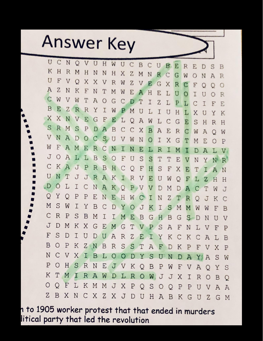

U  $\overline{C}$ N  $\circ$ V U  $H$ W U  $\mathcal{C}$  $\overline{B}$  $\mathcal{C}^{\bullet}$  $U$ B E  $R$ E D S B K  $H$  $\mathbb R$ M  $H$ N N  $H$ X  $\overline{z}$ M N R  $\Gamma$ G W  $\circ$ N  $A$ R U F V X  $\circ$ X  $\overline{z}$ V R W V E G X R  $\mathbf C$ F  $\circ$  $\circ$ O  $\boldsymbol{A}$  $\mathbf{Z}$ N K  $F$ N T M W E A H E L U  $\circ$ I U Ο R  $\subset$ W V W T  $\overline{A}$  $\circ$ G С D T I  $\overline{z}$ T, P Ι.  $\subset$ T F F. B E  $\overline{z}$ R R Y I W P M U L I U  $H$ L X U Υ K X X N V E G F E L  $\circ$  $\overline{A}$ W L  $\mathsf{C}$ G E S  $H$ R H S  $R$ M  $S$  $P$ D A B С C X B  $\overline{A}$ E R C W A  $\bigcirc$ W N V  $\overline{A}$ D O C  $S_{\nu}$ U V M N  $\circ$ I Χ G Т M E P  $\bigcirc$ W F  $\overline{A}$ M Е R С N Ι N E L R Т M A D V J О  $\overline{A}$ L L B S  $\circ$ F U S S T Τ F. V N Y N R C K  $\boldsymbol{A}$ P J  $\mathbb R$ B  $H$ F H S C O F X E Υ Τ N U N T J J R A K T  $\mathbb R$  $\mathbf{V}$ E  $\overline{1}$ W Ο F L Ζ H Н .D  $\circ$ L I С N A K O P V V D M D А C Τ W J Y O Q P P E N E H W Z I N т  $\mathbb R$  $\bigcirc$ J K C M S W I Y B  $\subset$ D Y O J K Ι S M M W W F B C R P S B M I Ι E M B G  $H$ B G S  $\Box$ N U V J D M K Χ G E M G T V  $\mathbf{P}$ S  $\overline{A}$ F N L V F Ρ S F D I A U  $\mathbb{D}$  $\mathbf{U}$  $R$  $\mathbf{Z}$ E I Y K C K С  $\mathcal{A}$ Ţ, B B  $\circ$ P K  $Z$ N  $R$ S S B  $T$  $\overline{A}$ F K  $\overline{P}$ D F V X P N C V X Ι B L  $\circ$  $\circ$ D Y  $\mathbf S$ U N D A  $X_i$  $\boldsymbol{A}$ S W  $\circ$ P  $H$ S R N E JV K  $\mathbf{P}$ W O B F V  $\mathbb{A}$  $\circ$ Υ S Κ T M I  $\mathbb{R}$  $\overline{A}$ W  $\mathbb{D}$ L  $\mathbb{R}$  $\circ$ W. J J Χ Ι  $R$  $\circ$ B  $\circ$  $\circ$  $\circ$ F L K M M J Χ P S  $\circ$  $\mathbf{P}$ O O P U V  $\mathbb{A}$  $\mathbb{A}$  $Z$ B X N C Χ Z X J D U  $H$  $A$ B K  $\mathbf{Z}$ G  $\cup$ G M

n to 1905 worker protest that that ended in murders litical party that led the revolution